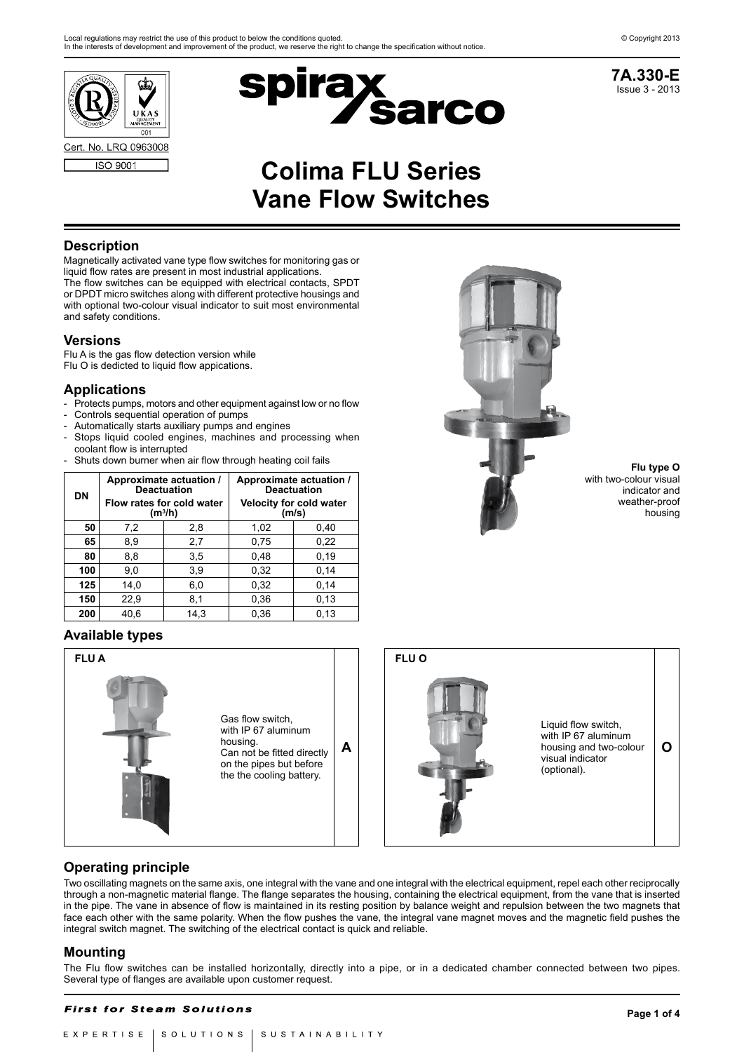





# **Colima FLU Series Vane Flow Switches**

### **Description**

Magnetically activated vane type flow switches for monitoring gas or liquid flow rates are present in most industrial applications. The flow switches can be equipped with electrical contacts, SPDT or DPDT micro switches along with different protective housings and with optional two-colour visual indicator to suit most environmental and safety conditions.

#### **Versions**

Flu A is the gas flow detection version while Flu O is dedicted to liquid flow appications.

### **Applications**

- Protects pumps, motors and other equipment against low or no flow
- Controls sequential operation of pumps
- Automatically starts auxiliary pumps and engines
- Stops liquid cooled engines, machines and processing when coolant flow is interrupted
- Shuts down burner when air flow through heating coil fails

| <b>DN</b> |            | Approximate actuation /<br><b>Deactuation</b> | Approximate actuation /<br><b>Deactuation</b> |      |  |
|-----------|------------|-----------------------------------------------|-----------------------------------------------|------|--|
|           |            | Flow rates for cold water<br>$(m^3/h)$        | <b>Velocity for cold water</b><br>(m/s)       |      |  |
| 50        | 7,2<br>2,8 |                                               | 1,02                                          | 0.40 |  |
| 65        | 8,9        | 2,7                                           | 0,75                                          | 0,22 |  |
| 80        | 8,8        | 3,5                                           | 0,48                                          | 0,19 |  |
| 100       | 9.0        | 3,9                                           | 0,32                                          | 0,14 |  |
| 125       | 14,0       | 6,0                                           | 0,32                                          | 0,14 |  |
| 150       | 22,9       | 8,1                                           | 0,36                                          | 0,13 |  |
| 200       | 40.6       | 14.3                                          | 0.36                                          | 0.13 |  |

# **Available types**





**Flu type O** with two-colour visual indicator and weather-proof housing



# **Operating principle**

Two oscillating magnets on the same axis, one integral with the vane and one integral with the electrical equipment, repel each other reciprocally through a non-magnetic material flange. The flange separates the housing, containing the electrical equipment, from the vane that is inserted in the pipe. The vane in absence of flow is maintained in its resting position by balance weight and repulsion between the two magnets that face each other with the same polarity. When the flow pushes the vane, the integral vane magnet moves and the magnetic field pushes the integral switch magnet. The switching of the electrical contact is quick and reliable.

# **Mounting**

The Flu flow switches can be installed horizontally, directly into a pipe, or in a dedicated chamber connected between two pipes. Several type of flanges are available upon customer request.

#### **First for Steam Solutions**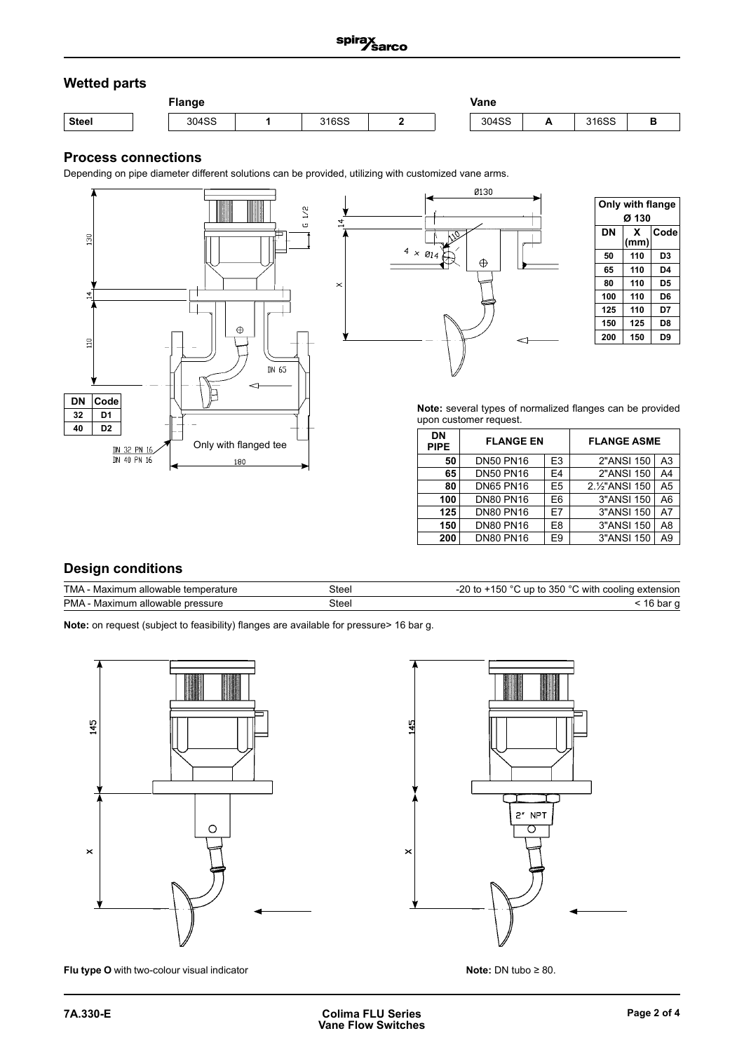# **Wetted parts**

| -lange       |  |       | Vane |              |  |       |              |       |  |
|--------------|--|-------|------|--------------|--|-------|--------------|-------|--|
| <b>Steel</b> |  | 304SS |      | 01000<br>uəc |  | 304SS | $\mathbf{A}$ | 316SS |  |

# **Process connections**

Depending on pipe diameter different solutions can be provided, utilizing with customized vane arms.





**Note:** several types of normalized flanges can be provided upon customer request.

| DN<br><b>PIPE</b> | <b>FLANGE EN</b> |                | <b>FLANGE ASME</b>           |                |  |
|-------------------|------------------|----------------|------------------------------|----------------|--|
| 50                | <b>DN50 PN16</b> | E <sub>3</sub> | 2"ANSI 150                   | A3             |  |
| 65                | <b>DN50 PN16</b> | E4             | 2"ANSI 150                   | A4             |  |
| 80                | <b>DN65 PN16</b> | E5             | 2.1/ <sub>2</sub> " ANSI 150 | A <sub>5</sub> |  |
| 100               | <b>DN80 PN16</b> | E6             | 3"ANSI 150                   | A6             |  |
| 125               | <b>DN80 PN16</b> | F7             | 3"ANSI 150                   | A7             |  |
| 150               | <b>DN80 PN16</b> | E8             | 3"ANSI 150                   | A8             |  |
| 200               | <b>DN80 PN16</b> | E9             | 3"ANSI 150                   | A9             |  |

### **Design conditions**

| TMA - Maximum allowable temperature | Steel | -20 to $+150$ °C up to 350 °C with cooling extension |
|-------------------------------------|-------|------------------------------------------------------|
| PMA - Maximum allowable pressure    | Steel | bar ∼ب                                               |

**Note:** on request (subject to feasibility) flanges are available for pressure> 16 bar g.



**Flu type O** with two-colour visual indicator



**Note:** DN tubo ≥ 80.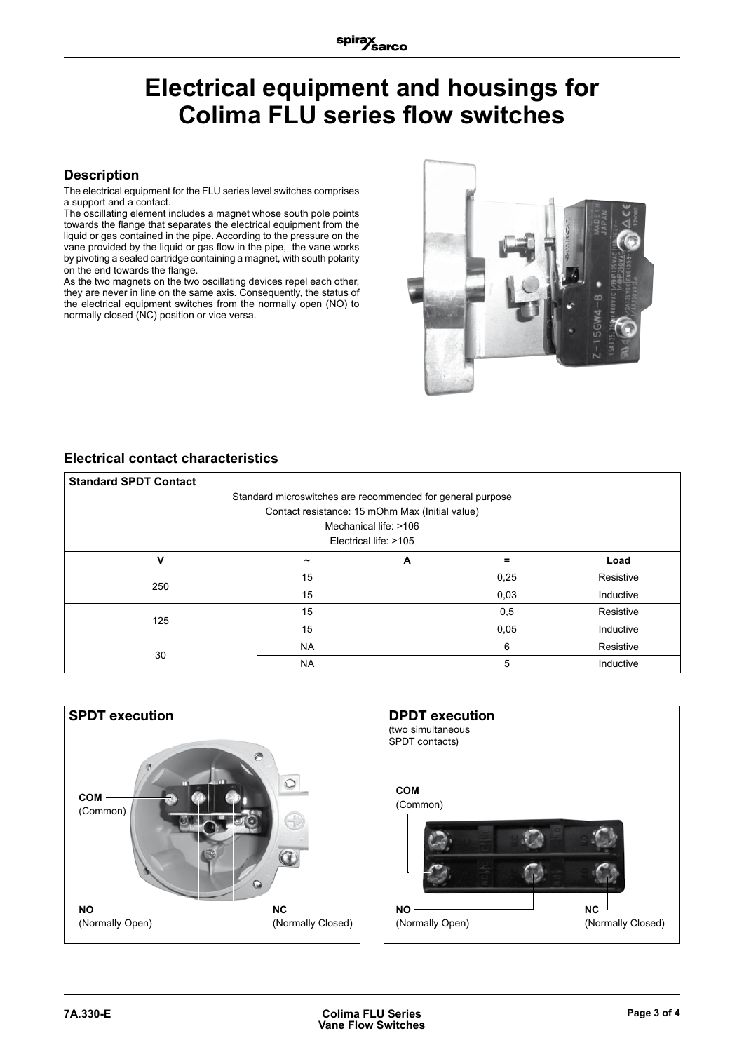# **Electrical equipment and housings for Colima FLU series flow switches**

#### **Description**

The electrical equipment for the FLU series level switches comprises a support and a contact.

The oscillating element includes a magnet whose south pole points towards the flange that separates the electrical equipment from the liquid or gas contained in the pipe. According to the pressure on the vane provided by the liquid or gas flow in the pipe, the vane works by pivoting a sealed cartridge containing a magnet, with south polarity on the end towards the flange.

As the two magnets on the two oscillating devices repel each other, they are never in line on the same axis. Consequently, the status of the electrical equipment switches from the normally open (NO) to normally closed (NC) position or vice versa.



# **Electrical contact characteristics**

| <b>Standard SPDT Contact</b>                               |                                                 |   |      |           |  |  |  |  |
|------------------------------------------------------------|-------------------------------------------------|---|------|-----------|--|--|--|--|
| Standard microswitches are recommended for general purpose |                                                 |   |      |           |  |  |  |  |
|                                                            | Contact resistance: 15 mOhm Max (Initial value) |   |      |           |  |  |  |  |
| Mechanical life: >106                                      |                                                 |   |      |           |  |  |  |  |
| Electrical life: >105                                      |                                                 |   |      |           |  |  |  |  |
| v                                                          |                                                 | A |      | Load      |  |  |  |  |
| 250                                                        | 15                                              |   | 0,25 | Resistive |  |  |  |  |
|                                                            | 15                                              |   | 0,03 | Inductive |  |  |  |  |
| 125                                                        | 15                                              |   | 0,5  | Resistive |  |  |  |  |
|                                                            | 15                                              |   | 0,05 | Inductive |  |  |  |  |
| 30                                                         | <b>NA</b>                                       |   | 6    | Resistive |  |  |  |  |
|                                                            | <b>NA</b>                                       |   | 5    | Inductive |  |  |  |  |